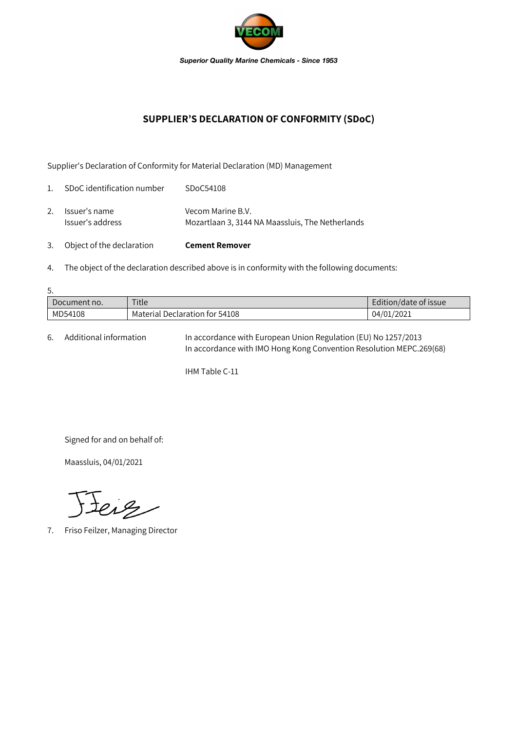

## **SUPPLIER'S DECLARATION OF CONFORMITY (SDoC)**

Supplier's Declaration of Conformity for Material Declaration (MD) Management

| 3.             | Object of the declaration         | <b>Cement Remover</b>                                                 |
|----------------|-----------------------------------|-----------------------------------------------------------------------|
| 2.             | Issuer's name<br>Issuer's address | Vecom Marine B.V.<br>Mozartlaan 3, 3144 NA Maassluis, The Netherlands |
| $\mathbf{1}$ . | SDoC identification number        | SDoC54108                                                             |

4. The object of the declaration described above is in conformity with the following documents:

| 5.           |                                |                       |  |  |  |  |
|--------------|--------------------------------|-----------------------|--|--|--|--|
| Document no. | Title                          | Edition/date of issue |  |  |  |  |
| MD54108      | Material Declaration for 54108 | 04/01/2021            |  |  |  |  |

6. Additional information In accordance with European Union Regulation (EU) No 1257/2013 In accordance with IMO Hong Kong Convention Resolution MEPC.269(68)

IHM Table C-11

Signed for and on behalf of:

Maassluis, 04/01/2021

teig

7. Friso Feilzer, Managing Director